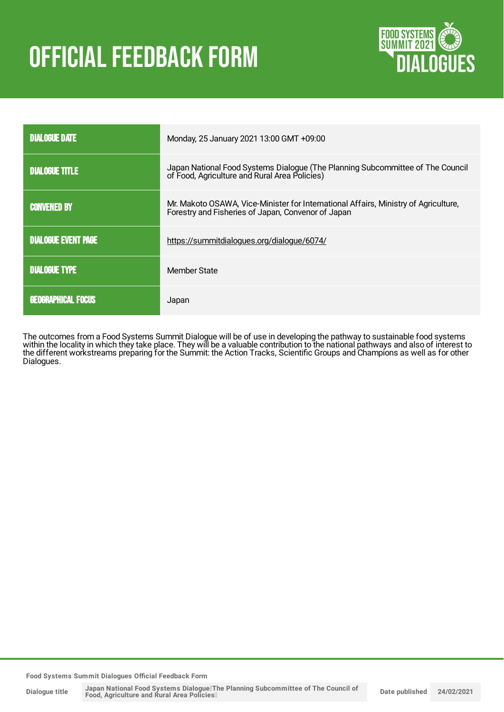# **OFFICIAL FEEDBACK FORM**



| <b>DIALOGUE DATE</b>       | Monday, 25 January 2021 13:00 GMT +09:00                                                                                                  |  |
|----------------------------|-------------------------------------------------------------------------------------------------------------------------------------------|--|
| <b>DIALOGUE TITLE</b>      | Japan National Food Systems Dialogue (The Planning Subcommittee of The Council of Food, Agriculture and Rural Area Policies)              |  |
| <b>CONVENED BY</b>         | Mr. Makoto OSAWA, Vice-Minister for International Affairs, Ministry of Agriculture,<br>Forestry and Fisheries of Japan, Convenor of Japan |  |
| <b>DIALOGUE EVENT PAGE</b> | https://summitdialogues.org/dialogue/6074/                                                                                                |  |
| <b>DIALOGUE TYPE</b>       | Member State                                                                                                                              |  |
| <b>GEOGRAPHICAL FOCUS</b>  | Japan                                                                                                                                     |  |

The outcomes from a Food Systems Summit Dialogue will be of use in developing the pathway to sustainable food systems within the locality in which they take place. They will be a valuable contribution to the national pathways and also of interest to the different workstreams preparing for the Summit: the Action Tracks, Scientific Groups and Champions as well as for other Dialogues.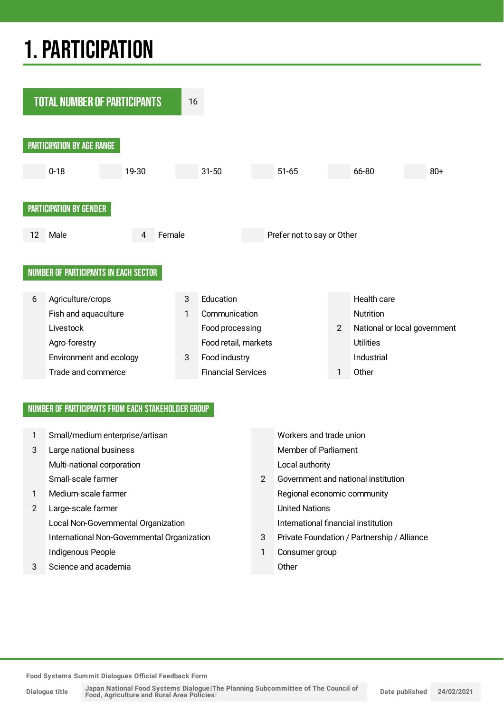## 1.PARTICIPATION



#### NUMBER OF PARTICIPANTS FROM EACH STAKEHOLDER GROUP

| 1 | Small/medium enterprise/artisan             |               | Workers and trade union                     |
|---|---------------------------------------------|---------------|---------------------------------------------|
| 3 | Large national business                     |               | Member of Parliament                        |
|   | Multi-national corporation                  |               | Local authority                             |
|   | Small-scale farmer                          | $\mathcal{P}$ | Government and national institution         |
| 1 | Medium-scale farmer                         |               | Regional economic community                 |
| 2 | Large-scale farmer                          |               | <b>United Nations</b>                       |
|   | Local Non-Governmental Organization         |               | International financial institution         |
|   | International Non-Governmental Organization | 3             | Private Foundation / Partnership / Alliance |
|   | Indigenous People                           | 1             | Consumer group                              |
| 3 | Science and academia                        |               | Other                                       |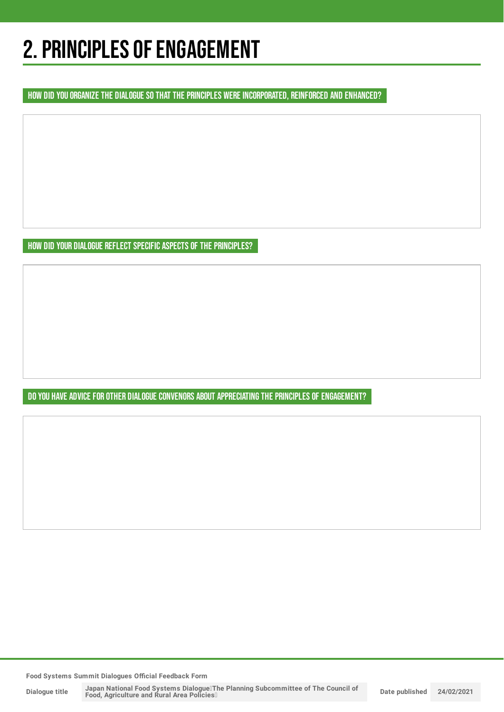## 2. PRINCIPLES OF ENGAGEMENT

HOW DID YOU ORGANIZE THE DIALOGUE SO THAT THE PRINCIPLES WERE INCORPORATED, REINFORCED AND ENHANCED?

HOW DID YOUR DIALOGUE REFLECT SPECIFIC ASPECTS OF THE PRINCIPLES?

DO YOU HAVE ADVICE FOR OTHER DIALOGUE CONVENORS ABOUT APPRECIATING THE PRINCIPLES OF ENGAGEMENT?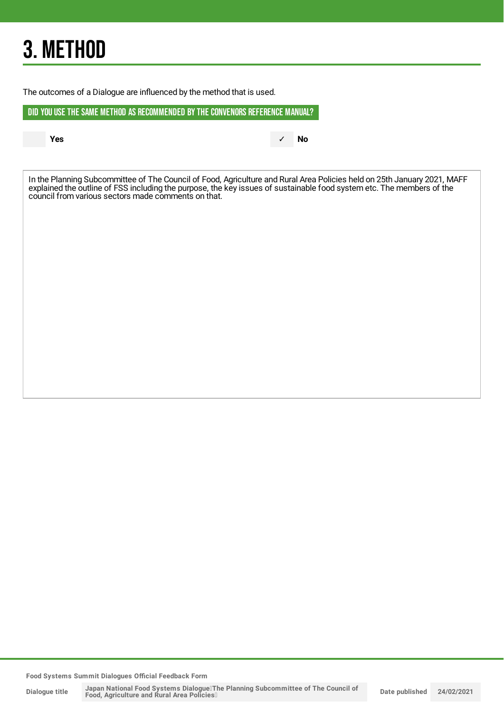## 3. METHOD

The outcomes of a Dialogue are influenced by the method that is used.

DID YOU USE THE SAME METHOD AS RECOMMENDED BYTHE CONVENORS REFERENCE MANUAL?

**Yes** ✓ **No**

In the Planning Subcommittee of The Council of Food, Agriculture and Rural Area Policies held on 25th January 2021, MAFF explained the outline of FSS including the purpose, the key issues of sustainable food system etc. The members of the council from various sectors made comments on that.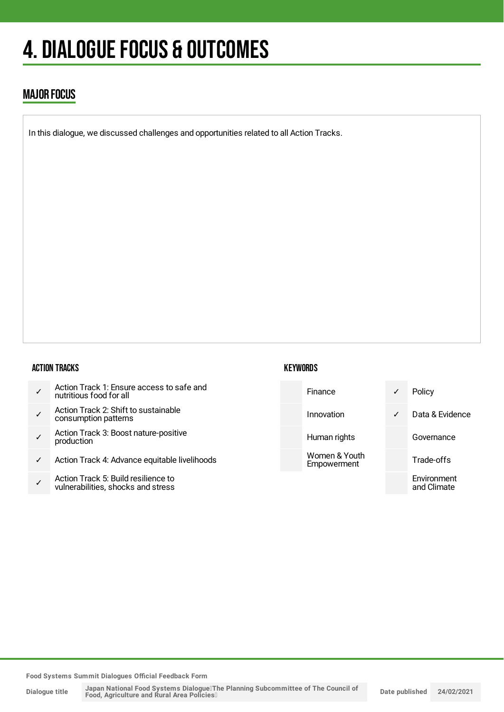## 4. DIALOGUE FOCUS & OUTCOMES

### MAJOR FOCUS

In this dialogue, we discussed challenges and opportunities related to all Action Tracks.

#### ACTION TRACKS

| Action Track 1: Ensure access to safe and<br>nutritious food for all |
|----------------------------------------------------------------------|
|----------------------------------------------------------------------|

- ✓ Action Track 2: Shift to sustainable consumption patterns
- ✓ Action Track 3: Boost nature-positive production
- ✓ Action Track 4: Advance equitable livelihoods
- ✓ Action Track 5: Build resilience to vulnerabilities, shocks and stress

#### **KEYWORDS**

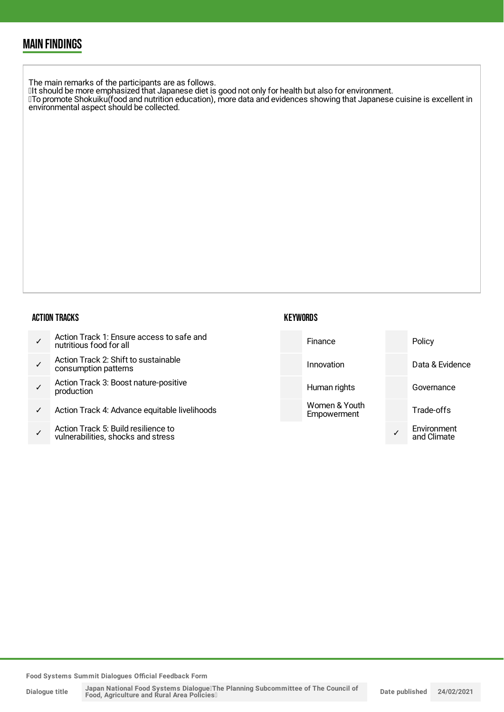### MAIN FINDINGS

The main remarks of the participants are as follows.  $\mathbb I$ It should be more emphasized that Japanese diet is good not only for health but also for environment. ・To promote Shokuiku(food and nutrition education), more data and evidences showing that Japanese cuisine is excellent in environmental aspect should be collected.

#### ACTION TRACKS

| Action Track 1: Ensure access to safe and<br>nutritious food for all |
|----------------------------------------------------------------------|
| Action Track 2: Shift to sustainable                                 |

- ✓ consumption patterns
- ✓ Action Track 3: Boost nature-positive production
- Action Track 4: Advance equitable livelihoods
- ✓ Action Track 5: Build resilience to vulnerabilities, shocks and stress

#### **KEYWORDS**

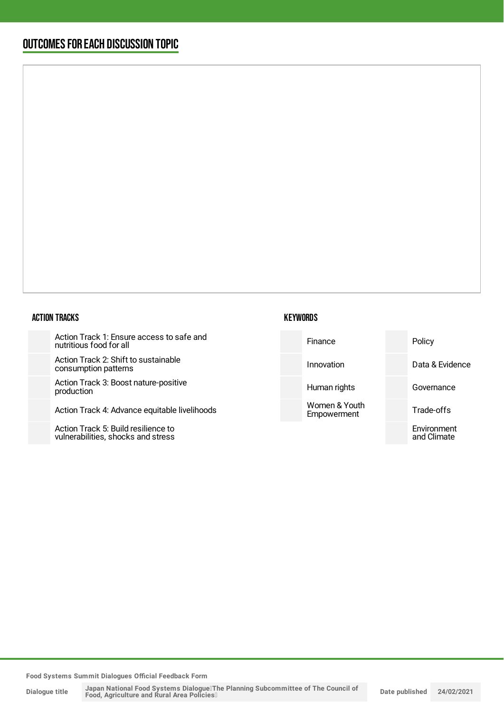### OUTCOMESFOR EACH DISCUSSION TOPIC

#### ACTION TRACKS

Action Track 1: Ensure access to safe nutritious food for all

Action Track 2: Shift to sustainable consumption patterns

Action Track 3: Boost nature-positive production

Action Track 4: Advance equitable liveli

Action Track 5: Build resilience to vulnerabilities, shocks and stress

#### **KEYWORDS**

| and    | Finance                      | Policy                     |
|--------|------------------------------|----------------------------|
|        | Innovation                   | Data & Evidence            |
|        | Human rights                 | Governance                 |
| ihoods | Women & Youth<br>Empowerment | Trade-offs                 |
|        |                              | Environment<br>and Climate |
|        |                              |                            |

**Food Systems Summit Dialogues Official Feedback Form**

**Dialogue title**

Japan National Food Systems Dialogue∏he Planning Subcommittee of The Council of<br>Food, Agriculture and Rural Area Policies□ **Date published 24/02/2021**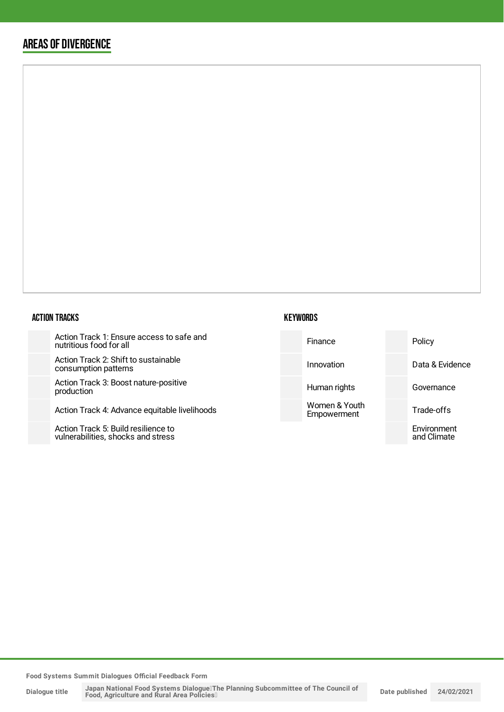### AREAS OF DIVERGENCE

#### ACTION TRACKS

Action Track 1: Ensure access to safe and nutritious food for all

Action Track 2: Shift to sustainable consumption patterns

Action Track 3: Boost nature-posit production

Action Track 4: Advance equitable

Action Track 5: Build resilience to vulnerabilities, shocks and stress

| safe and      | Finance                      | Policy                     |
|---------------|------------------------------|----------------------------|
| le            | Innovation                   | Data & Evidence            |
| tive          | Human rights                 | Governance                 |
| : livelihoods | Women & Youth<br>Empowerment | Trade-offs                 |
|               |                              | Environment<br>and Climate |
|               |                              |                            |

**Food Systems Summit Dialogues Official Feedback Form**

**Dialogue title**